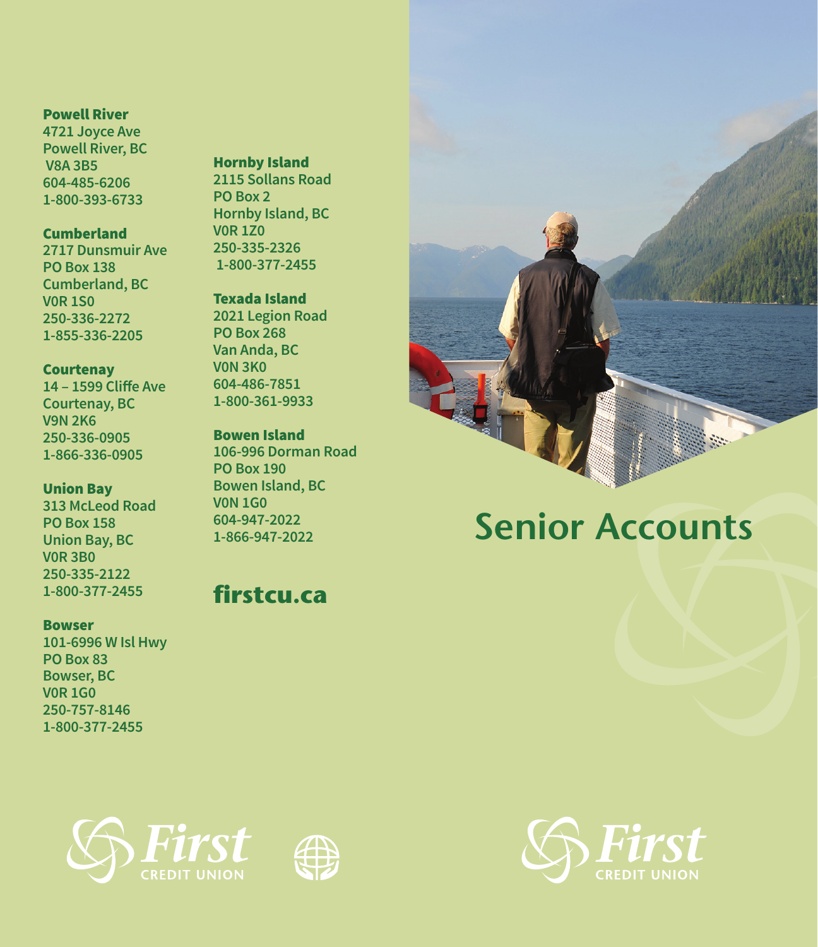## Powell River

**4721 Joyce Ave Powell River, BC V8A 3B5 604-485-6206 1-800-393-6733**

## **Cumberland**

**2717 Dunsmuir Ave PO Box 138 Cumberland, BC V0R 1S0 250-336-2272 1-855-336-2205**

### **Courtenay**

**14 – 1599 Cliffe Ave Courtenay, BC V9N 2K6 250-336-0905 1-866-336-0905**

## Union Bay

**313 McLeod Road PO Box 158 Union Bay, BC V0R 3B0 250-335-2122 1-800-377-2455**

#### **Bowser**

**101-6996 W Isl Hwy PO Box 83 Bowser, BC V0R 1G0 250-757-8146 1-800-377-2455**

## Hornby Island **2115 Sollans Road**

**PO Box 2 Hornby Island, BC V0R 1Z0 250-335-2326 1-800-377-2455**

# Texada Island

**2021 Legion Road PO Box 268 Van Anda, BC V0N 3K0 604-486-7851 1-800-361-9933**

# Bowen Island

**106-996 Dorman Road PO Box 190 Bowen Island, BC V0N 1G0 604-947-2022 1-866-947-2022**

# **firstcu.ca**



# **Senior Accounts**